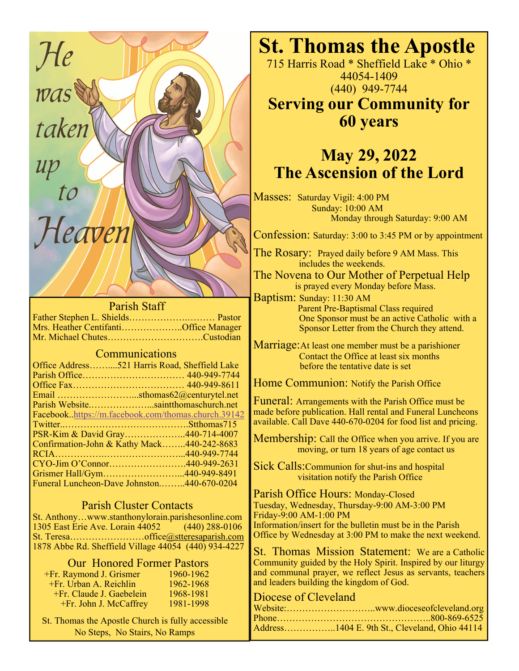

## Parish Staff

Father Stephen L. Shields……………….……… Pastor Mrs. Heather Centifanti………………..Office Manager Mr. Michael Chutes………………………….Custodian

## Communications

| Office Address521 Harris Road, Sheffield Lake       |  |
|-----------------------------------------------------|--|
|                                                     |  |
|                                                     |  |
| Email sthomas62@centurytel.net                      |  |
| Parish Websitesaintthomaschurch.net                 |  |
| Facebook.https://m.facebook.com/thomas.church.39142 |  |
|                                                     |  |
| PSR-Kim & David Gray440-714-4007                    |  |
| Confirmation-John & Kathy Mack440-242-8683          |  |
|                                                     |  |
|                                                     |  |
| Grismer Hall/Gym440-949-8491                        |  |
| Funeral Luncheon-Dave Johnston440-670-0204          |  |

## Parish Cluster Contacts

St. Anthony…www.stanthonylorain.parishesonline.com 1305 East Erie Ave. Lorain 44052 (440) 288-0106 St. Teresa……………………office@stteresaparish.com 1878 Abbe Rd. Sheffield Village 44054 (440) 934-4227

## Our Honored Former Pastors

| +Fr. Raymond J. Grismer   | 1960-1962 |
|---------------------------|-----------|
| $+Fr$ . Urban A. Reichlin | 1962-1968 |
| +Fr. Claude J. Gaebelein  | 1968-1981 |
| +Fr. John J. McCaffrey    | 1981-1998 |

 St. Thomas the Apostle Church is fully accessible No Steps, No Stairs, No Ramps

715 Harris Road \* Sheffield Lake \* Ohio \* 44054-1409 (440) 949-7744

**Serving our Community for 60 years** 

# **May 29, 2022 The Ascension of the Lord**

Masses: Saturday Vigil: 4:00 PM Sunday: 10:00 AM Monday through Saturday: 9:00 AM

Confession: Saturday: 3:00 to 3:45 PM or by appointment

The Rosary: Prayed daily before 9 AM Mass. This includes the weekends.

The Novena to Our Mother of Perpetual Help is prayed every Monday before Mass.

Baptism: Sunday: 11:30 AM Parent Pre-Baptismal Class required One Sponsor must be an active Catholic with a Sponsor Letter from the Church they attend.

Marriage:At least one member must be a parishioner Contact the Office at least six months before the tentative date is set

Home Communion: Notify the Parish Office

Funeral: Arrangements with the Parish Office must be made before publication. Hall rental and Funeral Luncheons available. Call Dave 440-670-0204 for food list and pricing.

Membership: Call the Office when you arrive. If you are moving, or turn 18 years of age contact us

Sick Calls:Communion for shut-ins and hospital visitation notify the Parish Office

Parish Office Hours: Monday-Closed Tuesday, Wednesday, Thursday-9:00 AM-3:00 PM Friday-9:00 AM-1:00 PM Information/insert for the bulletin must be in the Parish Office by Wednesday at 3:00 PM to make the next weekend.

St. Thomas Mission Statement: We are a Catholic Community guided by the Holy Spirit. Inspired by our liturgy and communal prayer, we reflect Jesus as servants, teachers and leaders building the kingdom of God.

## Diocese of Cleveland

| Address1404 E. 9th St., Cleveland, Ohio 44114 |
|-----------------------------------------------|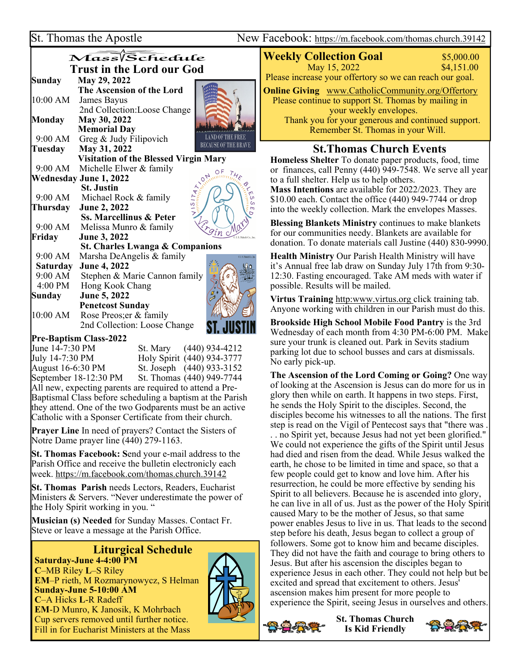Ξ

ew Facebook: https://m.facebook.com/thomas.church.39142

|                                  | St. Thomas the Apostle                       | Nev                                                    |  |  |
|----------------------------------|----------------------------------------------|--------------------------------------------------------|--|--|
|                                  | Mass/Schedule                                |                                                        |  |  |
| <b>Trust in the Lord our God</b> |                                              |                                                        |  |  |
| <b>Sunday</b>                    | May 29, 2022                                 |                                                        |  |  |
|                                  | The Ascension of the Lord                    |                                                        |  |  |
| 10:00 AM                         | James Bayus                                  |                                                        |  |  |
|                                  | 2nd Collection: Loose Change                 |                                                        |  |  |
| <b>Monday</b>                    | May 30, 2022                                 |                                                        |  |  |
|                                  | <b>Memorial Day</b>                          |                                                        |  |  |
| 9:00 AM                          | Greg & Judy Filipovich                       | <b>LAND OF THE FREE</b><br><b>BECAUSE OF THE BRAVE</b> |  |  |
| Tuesday                          | May 31, 2022                                 |                                                        |  |  |
|                                  | <b>Visitation of the Blessed Virgin Mary</b> |                                                        |  |  |
| 9:00 AM                          | Michelle Elwer & family                      |                                                        |  |  |
|                                  | Wednesday June 1, 2022                       |                                                        |  |  |
|                                  | <b>St. Justin</b>                            |                                                        |  |  |
|                                  | 9:00 AM Michael Rock & family                |                                                        |  |  |
| Thursday                         | June 2, 2022                                 | $\overline{m}$                                         |  |  |
|                                  | <b>Ss. Marcellinus &amp; Peter</b>           |                                                        |  |  |
| 9:00 AM                          | Melissa Munro & family                       | <i>Ergin</i> Ma                                        |  |  |
| Friday                           | <b>June 3, 2022</b>                          |                                                        |  |  |
|                                  | <b>St. Charles Lwanga &amp; Companions</b>   |                                                        |  |  |
| 9:00 AM                          | Marsha DeAngelis & family                    | 1.8 Peloti Co. Inc.                                    |  |  |
| <b>Saturday</b>                  | <b>June 4, 2022</b>                          |                                                        |  |  |
| 9:00 AM                          | Stephen & Marie Cannon family                |                                                        |  |  |
| 4:00 PM                          | Hong Kook Chang                              |                                                        |  |  |
| Sunday                           | June 5, 2022                                 |                                                        |  |  |
|                                  | <b>Penetcost Sunday</b>                      |                                                        |  |  |
| 10:00 AM                         | Rose Preos; er & family                      |                                                        |  |  |

 2nd Collection: Loose Change  $\overline{\phantom{a}}$ 

# **Pre-Baptism Class-2022**  June 14-7:30 PM St. Mary (440) 934-4212

July 14-7:30 PM Holy Spirit (440) 934-3777 August 16-6:30 PM St. Joseph (440) 933-3152 September 18-12:30 PM St. Thomas (440) 949-7744 All new, expecting parents are required to attend a Pre-Baptismal Class before scheduling a baptism at the Parish

they attend. One of the two Godparents must be an active Catholic with a Sponser Certificate from their church.

**Prayer Line** In need of prayers? Contact the Sisters of Notre Dame prayer line (440) 279-1163.

**St. Thomas Facebook: S**end your e-mail address to the Parish Office and receive the bulletin electronicly each week. https://m.facebook.com/thomas.church.39142

**St. Thomas Parish** needs Lectors, Readers, Eucharist Ministers & Servers. "Never underestimate the power of the Holy Spirit working in you. "

**Musician (s) Needed** for Sunday Masses. Contact Fr. Steve or leave a message at the Parish Office.

# **Liturgical Schedule**

**Saturday-June 4-4:00 PM C**–MB Riley **L**–S Riley **EM**–P rieth, M Rozmarynowycz, S Helman **Sunday-June 5-10:00 AM C**–A Hicks **L**-R Radeff **EM**-D Munro, K Janosik, K Mohrbach Cup servers removed until further notice. Fill in for Eucharist Ministers at the Mass



ST. JUSTIN

# **Weekly Collection Goal** \$5,000.00

May 15, 2022 \$4,151.00 Please increase your offertory so we can reach our goal.

**Online Giving** www.CatholicCommunity.org/Offertory Please continue to support St. Thomas by mailing in your weekly envelopes. Thank you for your generous and continued support. Remember St. Thomas in your Will.

## **St.Thomas Church Events**

**Homeless Shelter** To donate paper products, food, time or finances, call Penny (440) 949-7548. We serve all year to a full shelter. Help us to help others. **Mass Intentions** are available for 2022/2023. They are

\$10.00 each. Contact the office (440) 949-7744 or drop into the weekly collection. Mark the envelopes Masses.

**Blessing Blankets Ministry** continues to make blankets for our communities needy. Blankets are available for donation. To donate materials call Justine (440) 830-9990.

**Health Ministry** Our Parish Health Ministry will have it's Annual free lab draw on Sunday July 17th from 9:30- 12:30. Fasting encouraged. Take AM meds with water if possible. Results will be mailed.

**Virtus Training** http:www.virtus.org click training tab. Anyone working with children in our Parish must do this.

**Brookside High School Mobile Food Pantry** is the 3rd Wednesday of each month from 4:30 PM-6:00 PM. Make sure your trunk is cleaned out. Park in Sevits stadium parking lot due to school busses and cars at dismissals. No early pick-up.

**The Ascension of the Lord Coming or Going?** One way of looking at the Ascension is Jesus can do more for us in glory then while on earth. It happens in two steps. First, he sends the Holy Spirit to the disciples. Second, the disciples become his witnesses to all the nations. The first step is read on the Vigil of Pentecost says that "there was . . . no Spirit yet, because Jesus had not yet been glorified." We could not experience the gifts of the Spirit until Jesus had died and risen from the dead. While Jesus walked the earth, he chose to be limited in time and space, so that a few people could get to know and love him. After his resurrection, he could be more effective by sending his Spirit to all believers. Because he is ascended into glory, he can live in all of us. Just as the power of the Holy Spirit caused Mary to be the mother of Jesus, so that same power enables Jesus to live in us. That leads to the second step before his death, Jesus began to collect a group of followers. Some got to know him and became disciples. They did not have the faith and courage to bring others to Jesus. But after his ascension the disciples began to experience Jesus in each other. They could not help but be excited and spread that excitement to others. Jesus' ascension makes him present for more people to experience the Spirit, seeing Jesus in ourselves and others.

**St. Thomas Church Is Kid Friendly**